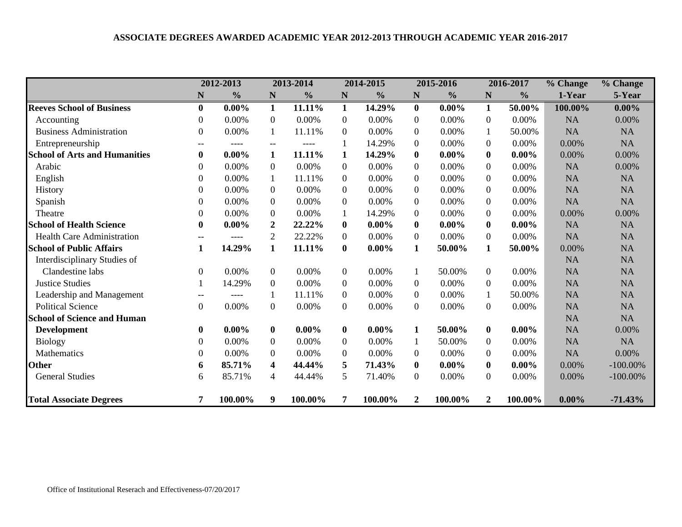|                                      |                | 2012-2013     |                          | 2013-2014     |                  | 2014-2015     |                  | 2015-2016     |                  | 2016-2017     | % Change  | % Change    |
|--------------------------------------|----------------|---------------|--------------------------|---------------|------------------|---------------|------------------|---------------|------------------|---------------|-----------|-------------|
|                                      | N              | $\frac{0}{0}$ | N                        | $\frac{0}{0}$ | ${\bf N}$        | $\frac{0}{0}$ | ${\bf N}$        | $\frac{6}{6}$ | N                | $\frac{6}{6}$ | 1-Year    | 5-Year      |
| <b>Reeves School of Business</b>     | $\mathbf{0}$   | $0.00\%$      | 1                        | 11.11%        | $\mathbf 1$      | 14.29%        | $\mathbf{0}$     | $0.00\%$      | 1                | 50.00%        | 100.00%   | $0.00\%$    |
| Accounting                           | 0              | 0.00%         | $\overline{0}$           | 0.00%         | $\boldsymbol{0}$ | 0.00%         | $\mathbf{0}$     | 0.00%         | $\boldsymbol{0}$ | 0.00%         | <b>NA</b> | 0.00%       |
| <b>Business Administration</b>       | 0              | 0.00%         | 1                        | 11.11%        | $\mathbf{0}$     | 0.00%         | $\overline{0}$   | 0.00%         | 1                | 50.00%        | <b>NA</b> | <b>NA</b>   |
| Entrepreneurship                     | $-$            | ----          | $\overline{\phantom{a}}$ | ----          |                  | 14.29%        | $\overline{0}$   | 0.00%         | $\boldsymbol{0}$ | 0.00%         | 0.00%     | <b>NA</b>   |
| <b>School of Arts and Humanities</b> | $\bf{0}$       | $0.00\%$      | 1                        | 11.11%        | $\mathbf{1}$     | 14.29%        | $\bf{0}$         | $0.00\%$      | $\bf{0}$         | $0.00\%$      | 0.00%     | 0.00%       |
| Arabic                               | 0              | 0.00%         | $\theta$                 | 0.00%         | $\overline{0}$   | 0.00%         | $\overline{0}$   | 0.00%         | $\boldsymbol{0}$ | 0.00%         | <b>NA</b> | 0.00%       |
| English                              | 0              | 0.00%         | $\mathbf{1}$             | 11.11%        | $\Omega$         | 0.00%         | $\Omega$         | 0.00%         | $\Omega$         | 0.00%         | <b>NA</b> | <b>NA</b>   |
| History                              | 0              | 0.00%         | $\theta$                 | 0.00%         | $\boldsymbol{0}$ | 0.00%         | $\overline{0}$   | 0.00%         | $\boldsymbol{0}$ | 0.00%         | <b>NA</b> | <b>NA</b>   |
| Spanish                              | 0              | 0.00%         | $\theta$                 | 0.00%         | $\boldsymbol{0}$ | 0.00%         | $\overline{0}$   | 0.00%         | $\boldsymbol{0}$ | 0.00%         | <b>NA</b> | <b>NA</b>   |
| Theatre                              | 0              | 0.00%         | $\mathbf{0}$             | 0.00%         | $\mathbf{1}$     | 14.29%        | $\mathbf{0}$     | 0.00%         | $\boldsymbol{0}$ | 0.00%         | 0.00%     | 0.00%       |
| <b>School of Health Science</b>      | $\mathbf{0}$   | $0.00\%$      | $\boldsymbol{2}$         | 22.22%        | $\mathbf{0}$     | $0.00\%$      | $\bf{0}$         | $0.00\%$      | $\bf{0}$         | $0.00\%$      | <b>NA</b> | <b>NA</b>   |
| <b>Health Care Administration</b>    |                | ----          | $\overline{2}$           | 22.22%        | $\overline{0}$   | 0.00%         | $\overline{0}$   | $0.00\%$      | $\boldsymbol{0}$ | 0.00%         | <b>NA</b> | NA          |
| <b>School of Public Affairs</b>      |                | 14.29%        | $\mathbf{1}$             | 11.11%        | $\bf{0}$         | $0.00\%$      | $\mathbf{1}$     | 50.00%        | 1                | 50.00%        | 0.00%     | <b>NA</b>   |
| Interdisciplinary Studies of         |                |               |                          |               |                  |               |                  |               |                  |               | <b>NA</b> | <b>NA</b>   |
| Clandestine labs                     | $\Omega$       | 0.00%         | $\overline{0}$           | 0.00%         | $\overline{0}$   | $0.00\%$      | 1                | 50.00%        | $\overline{0}$   | 0.00%         | <b>NA</b> | <b>NA</b>   |
| <b>Justice Studies</b>               |                | 14.29%        | $\theta$                 | 0.00%         | $\boldsymbol{0}$ | 0.00%         | $\overline{0}$   | 0.00%         | $\boldsymbol{0}$ | 0.00%         | <b>NA</b> | NA          |
| Leadership and Management            |                | ----          |                          | 11.11%        | $\overline{0}$   | 0.00%         | $\overline{0}$   | $0.00\%$      |                  | 50.00%        | <b>NA</b> | <b>NA</b>   |
| <b>Political Science</b>             | $\overline{0}$ | 0.00%         | $\overline{0}$           | 0.00%         | $\overline{0}$   | 0.00%         | $\mathbf{0}$     | $0.00\%$      | $\overline{0}$   | 0.00%         | <b>NA</b> | NA          |
| <b>School of Science and Human</b>   |                |               |                          |               |                  |               |                  |               |                  |               | <b>NA</b> | <b>NA</b>   |
| <b>Development</b>                   | $\mathbf{0}$   | $0.00\%$      | $\mathbf{0}$             | $0.00\%$      | $\bf{0}$         | $0.00\%$      | 1                | 50.00%        | $\mathbf{0}$     | $0.00\%$      | <b>NA</b> | 0.00%       |
| <b>Biology</b>                       | 0              | 0.00%         | $\mathbf{0}$             | 0.00%         | $\boldsymbol{0}$ | 0.00%         |                  | 50.00%        | $\boldsymbol{0}$ | 0.00%         | <b>NA</b> | <b>NA</b>   |
| Mathematics                          | 0              | 0.00%         | $\mathbf{0}$             | 0.00%         | $\boldsymbol{0}$ | 0.00%         | $\overline{0}$   | 0.00%         | $\boldsymbol{0}$ | 0.00%         | <b>NA</b> | 0.00%       |
| <b>Other</b>                         | 6              | 85.71%        | 4                        | 44.44%        | 5                | 71.43%        | $\bf{0}$         | $0.00\%$      | $\mathbf{0}$     | $0.00\%$      | 0.00%     | $-100.00\%$ |
| <b>General Studies</b>               | 6              | 85.71%        | 4                        | 44.44%        | 5                | 71.40%        | $\boldsymbol{0}$ | $0.00\%$      | $\overline{0}$   | 0.00%         | 0.00%     | $-100.00\%$ |
| <b>Total Associate Degrees</b>       |                | 100.00%       | 9                        | 100.00%       | 7                | 100.00%       | $\overline{2}$   | 100.00%       | $\mathbf{2}$     | 100.00%       | $0.00\%$  | $-71.43%$   |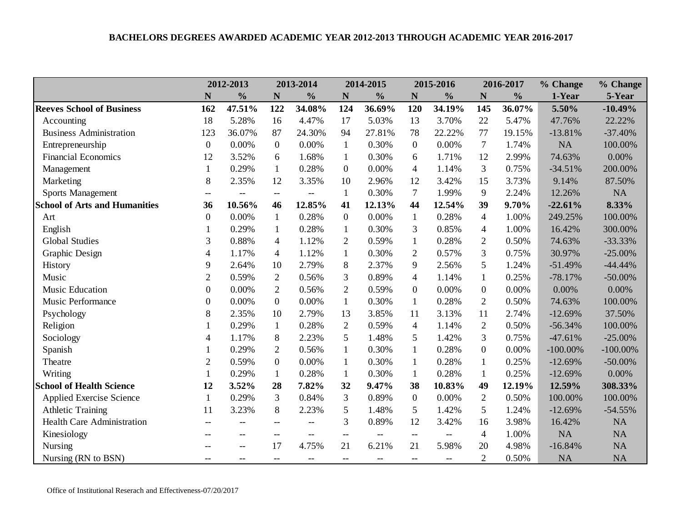|                                      |                          | 2012-2013                |                                                     | 2013-2014     |                                       | 2014-2015                                           |                                                     | 2015-2016                |                  | 2016-2017     | % Change    | % Change    |
|--------------------------------------|--------------------------|--------------------------|-----------------------------------------------------|---------------|---------------------------------------|-----------------------------------------------------|-----------------------------------------------------|--------------------------|------------------|---------------|-------------|-------------|
|                                      | N                        | $\frac{0}{0}$            | N                                                   | $\frac{0}{0}$ | $\mathbf N$                           | $\frac{0}{0}$                                       | $\mathbf N$                                         | $\frac{0}{0}$            | $\mathbf N$      | $\frac{0}{0}$ | 1-Year      | 5-Year      |
| <b>Reeves School of Business</b>     | 162                      | 47.51%                   | 122                                                 | 34.08%        | 124                                   | 36.69%                                              | 120                                                 | 34.19%                   | 145              | 36.07%        | 5.50%       | $-10.49%$   |
| Accounting                           | 18                       | 5.28%                    | 16                                                  | 4.47%         | 17                                    | 5.03%                                               | 13                                                  | 3.70%                    | 22               | 5.47%         | 47.76%      | 22.22%      |
| <b>Business Administration</b>       | 123                      | 36.07%                   | 87                                                  | 24.30%        | 94                                    | 27.81%                                              | 78                                                  | 22.22%                   | 77               | 19.15%        | $-13.81%$   | $-37.40%$   |
| Entrepreneurship                     | $\mathbf{0}$             | 0.00%                    | $\overline{0}$                                      | 0.00%         | $\mathbf{1}$                          | 0.30%                                               | $\overline{0}$                                      | 0.00%                    | $\tau$           | 1.74%         | NA          | 100.00%     |
| <b>Financial Economics</b>           | 12                       | 3.52%                    | 6                                                   | 1.68%         | $\mathbf{1}$                          | 0.30%                                               | 6                                                   | 1.71%                    | 12               | 2.99%         | 74.63%      | $0.00\%$    |
| Management                           | $\mathbf{1}$             | 0.29%                    | $\mathbf{1}$                                        | 0.28%         | $\boldsymbol{0}$                      | 0.00%                                               | $\overline{4}$                                      | 1.14%                    | 3                | 0.75%         | $-34.51%$   | 200.00%     |
| Marketing                            | 8                        | 2.35%                    | 12                                                  | 3.35%         | 10                                    | 2.96%                                               | 12                                                  | 3.42%                    | 15               | 3.73%         | 9.14%       | 87.50%      |
| <b>Sports Management</b>             | $\overline{\phantom{a}}$ | $\overline{\phantom{a}}$ | $\overline{a}$                                      | $-$           | $\mathbf{1}$                          | 0.30%                                               | $\overline{7}$                                      | 1.99%                    | 9                | 2.24%         | 12.26%      | <b>NA</b>   |
| <b>School of Arts and Humanities</b> | 36                       | 10.56%                   | 46                                                  | 12.85%        | 41                                    | 12.13%                                              | 44                                                  | 12.54%                   | 39               | 9.70%         | $-22.61%$   | 8.33%       |
| Art                                  | $\mathbf{0}$             | 0.00%                    | $\mathbf{1}$                                        | 0.28%         | $\overline{0}$                        | 0.00%                                               | $\mathbf{1}$                                        | 0.28%                    | 4                | 1.00%         | 249.25%     | 100.00%     |
| English                              | 1                        | 0.29%                    | $\mathbf{1}$                                        | 0.28%         | $\mathbf{1}$                          | 0.30%                                               | 3                                                   | 0.85%                    | 4                | 1.00%         | 16.42%      | 300.00%     |
| <b>Global Studies</b>                | 3                        | 0.88%                    | 4                                                   | 1.12%         | $\overline{2}$                        | 0.59%                                               | $\mathbf{1}$                                        | 0.28%                    | $\overline{2}$   | 0.50%         | 74.63%      | $-33.33%$   |
| Graphic Design                       | 4                        | 1.17%                    | $\overline{4}$                                      | 1.12%         | $\mathbf{1}$                          | 0.30%                                               | $\overline{2}$                                      | 0.57%                    | $\overline{3}$   | 0.75%         | 30.97%      | $-25.00\%$  |
| History                              | 9                        | 2.64%                    | 10                                                  | 2.79%         | 8                                     | 2.37%                                               | 9                                                   | 2.56%                    | 5                | 1.24%         | $-51.49%$   | $-44.44%$   |
| Music                                | $\overline{2}$           | 0.59%                    | $\sqrt{2}$                                          | 0.56%         | 3                                     | 0.89%                                               | $\overline{4}$                                      | 1.14%                    | $\mathbf{1}$     | 0.25%         | $-78.17%$   | $-50.00\%$  |
| Music Education                      | $\Omega$                 | 0.00%                    | $\overline{2}$                                      | 0.56%         | $\overline{2}$                        | 0.59%                                               | $\theta$                                            | 0.00%                    | $\overline{0}$   | 0.00%         | 0.00%       | $0.00\%$    |
| Music Performance                    | 0                        | 0.00%                    | $\boldsymbol{0}$                                    | 0.00%         | $\mathbf{1}$                          | 0.30%                                               | 1                                                   | 0.28%                    | $\overline{2}$   | 0.50%         | 74.63%      | 100.00%     |
| Psychology                           | 8                        | 2.35%                    | 10                                                  | 2.79%         | 13                                    | 3.85%                                               | 11                                                  | 3.13%                    | 11               | 2.74%         | $-12.69%$   | 37.50%      |
| Religion                             |                          | 0.29%                    | $\mathbf{1}$                                        | 0.28%         | $\overline{2}$                        | 0.59%                                               | $\overline{4}$                                      | 1.14%                    | $\overline{2}$   | 0.50%         | $-56.34%$   | 100.00%     |
| Sociology                            | $\overline{4}$           | 1.17%                    | 8                                                   | 2.23%         | 5                                     | 1.48%                                               | 5                                                   | 1.42%                    | 3                | 0.75%         | $-47.61%$   | $-25.00\%$  |
| Spanish                              | 1                        | 0.29%                    | $\overline{c}$                                      | 0.56%         | $\mathbf{1}$                          | 0.30%                                               | $\mathbf{1}$                                        | 0.28%                    | $\boldsymbol{0}$ | 0.00%         | $-100.00\%$ | $-100.00\%$ |
| Theatre                              | $\overline{2}$           | 0.59%                    | $\overline{0}$                                      | 0.00%         | $\mathbf{1}$                          | 0.30%                                               | 1                                                   | 0.28%                    | 1                | 0.25%         | $-12.69%$   | $-50.00\%$  |
| Writing                              |                          | 0.29%                    | $\mathbf{1}$                                        | 0.28%         | $\mathbf{1}$                          | 0.30%                                               | $\mathbf{1}$                                        | 0.28%                    |                  | 0.25%         | $-12.69%$   | $0.00\%$    |
| <b>School of Health Science</b>      | 12                       | 3.52%                    | 28                                                  | 7.82%         | 32                                    | 9.47%                                               | 38                                                  | 10.83%                   | 49               | 12.19%        | 12.59%      | 308.33%     |
| Applied Exercise Science             | $\mathbf{1}$             | 0.29%                    | 3                                                   | 0.84%         | 3                                     | 0.89%                                               | $\overline{0}$                                      | 0.00%                    | $\mathfrak{2}$   | 0.50%         | 100.00%     | 100.00%     |
| <b>Athletic Training</b>             | 11                       | 3.23%                    | 8                                                   | 2.23%         | 5                                     | 1.48%                                               | 5                                                   | 1.42%                    | 5                | 1.24%         | $-12.69%$   | $-54.55%$   |
| <b>Health Care Administration</b>    | $\overline{\phantom{m}}$ |                          |                                                     |               | 3                                     | 0.89%                                               | 12                                                  | 3.42%                    | 16               | 3.98%         | 16.42%      | NA          |
| Kinesiology                          |                          |                          | $-$                                                 |               | $\overline{\phantom{a}}$              |                                                     | $\hspace{0.05cm} -\hspace{0.05cm} -\hspace{0.05cm}$ |                          | $\overline{4}$   | 1.00%         | NA          | NA          |
| Nursing                              | $-$                      | $-$                      | 17                                                  | 4.75%         | 21                                    | 6.21%                                               | 21                                                  | 5.98%                    | 20               | 4.98%         | $-16.84%$   | NA          |
| Nursing (RN to BSN)                  | $\qquad \qquad -$        | $\qquad \qquad -$        | $\hspace{0.05cm} -\hspace{0.05cm} -\hspace{0.05cm}$ | $-$           | $\hspace{0.05cm}$ – $\hspace{0.05cm}$ | $\hspace{0.05cm} -\hspace{0.05cm} -\hspace{0.05cm}$ | $-$                                                 | $\overline{\phantom{a}}$ | $\overline{2}$   | 0.50%         | NA          | <b>NA</b>   |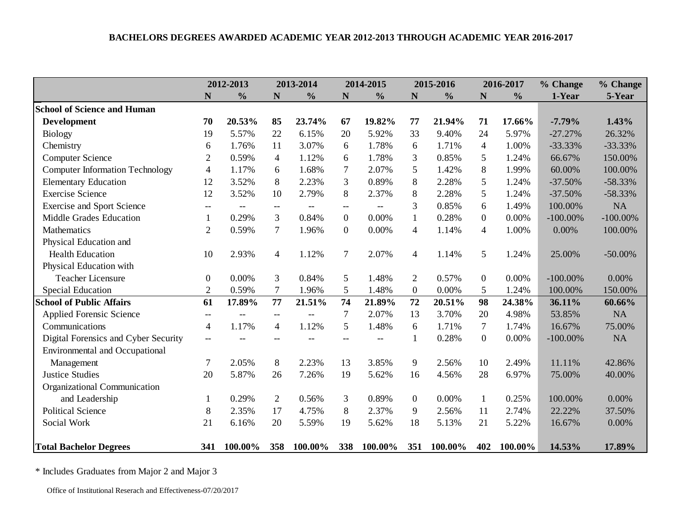|                                        | 2012-2013        |               |                | 2013-2014     |                  | 2014-2015                |                | 2015-2016     |                | 2016-2017     | % Change    | % Change    |
|----------------------------------------|------------------|---------------|----------------|---------------|------------------|--------------------------|----------------|---------------|----------------|---------------|-------------|-------------|
|                                        | N                | $\frac{0}{0}$ | N              | $\frac{0}{0}$ | $\mathbf N$      | $\frac{0}{0}$            | $\mathbf N$    | $\frac{0}{0}$ | N              | $\frac{0}{0}$ | 1-Year      | 5-Year      |
| <b>School of Science and Human</b>     |                  |               |                |               |                  |                          |                |               |                |               |             |             |
| <b>Development</b>                     | 70               | 20.53%        | 85             | 23.74%        | 67               | 19.82%                   | 77             | 21.94%        | 71             | 17.66%        | $-7.79%$    | 1.43%       |
| <b>Biology</b>                         | 19               | 5.57%         | 22             | 6.15%         | 20               | 5.92%                    | 33             | 9.40%         | 24             | 5.97%         | $-27.27%$   | 26.32%      |
| Chemistry                              | 6                | 1.76%         | 11             | 3.07%         | 6                | 1.78%                    | 6              | 1.71%         | $\overline{4}$ | 1.00%         | $-33.33%$   | $-33.33%$   |
| <b>Computer Science</b>                | $\overline{2}$   | 0.59%         | $\overline{4}$ | 1.12%         | 6                | 1.78%                    | 3              | 0.85%         | 5              | 1.24%         | 66.67%      | 150.00%     |
| <b>Computer Information Technology</b> | $\overline{4}$   | 1.17%         | 6              | 1.68%         | $\overline{7}$   | 2.07%                    | 5              | 1.42%         | 8              | 1.99%         | 60.00%      | 100.00%     |
| <b>Elementary Education</b>            | 12               | 3.52%         | 8              | 2.23%         | 3                | 0.89%                    | 8              | 2.28%         | 5              | 1.24%         | $-37.50%$   | $-58.33%$   |
| <b>Exercise Science</b>                | 12               | 3.52%         | 10             | 2.79%         | 8                | 2.37%                    | 8              | 2.28%         | 5              | 1.24%         | $-37.50%$   | $-58.33%$   |
| <b>Exercise and Sport Science</b>      | $- -$            | $--$          | $- -$          | $-\!$         | --               | $\overline{\phantom{m}}$ | 3              | 0.85%         | 6              | 1.49%         | 100.00%     | NA          |
| Middle Grades Education                | 1                | 0.29%         | $\overline{3}$ | 0.84%         | $\overline{0}$   | 0.00%                    | $\mathbf{1}$   | 0.28%         | $\overline{0}$ | 0.00%         | $-100.00\%$ | $-100.00\%$ |
| Mathematics                            | $\overline{2}$   | 0.59%         | $\tau$         | 1.96%         | $\boldsymbol{0}$ | 0.00%                    | $\overline{4}$ | 1.14%         | 4              | 1.00%         | 0.00%       | 100.00%     |
| Physical Education and                 |                  |               |                |               |                  |                          |                |               |                |               |             |             |
| <b>Health Education</b>                | 10               | 2.93%         | $\overline{4}$ | 1.12%         | $\overline{7}$   | 2.07%                    | $\overline{4}$ | 1.14%         | 5              | 1.24%         | 25.00%      | $-50.00\%$  |
| Physical Education with                |                  |               |                |               |                  |                          |                |               |                |               |             |             |
| <b>Teacher Licensure</b>               | $\boldsymbol{0}$ | 0.00%         | 3              | 0.84%         | 5                | 1.48%                    | $\overline{2}$ | 0.57%         | $\overline{0}$ | 0.00%         | $-100.00\%$ | 0.00%       |
| <b>Special Education</b>               | $\overline{2}$   | 0.59%         | 7              | 1.96%         | 5                | 1.48%                    | $\mathbf{0}$   | 0.00%         | 5              | 1.24%         | 100.00%     | 150.00%     |
| <b>School of Public Affairs</b>        | 61               | 17.89%        | 77             | 21.51%        | 74               | 21.89%                   | 72             | 20.51%        | 98             | 24.38%        | 36.11%      | 60.66%      |
| Applied Forensic Science               | $-$              |               | $--$           |               | $\overline{7}$   | 2.07%                    | 13             | 3.70%         | 20             | 4.98%         | 53.85%      | <b>NA</b>   |
| Communications                         | $\overline{4}$   | 1.17%         | 4              | 1.12%         | 5                | 1.48%                    | 6              | 1.71%         | $\tau$         | 1.74%         | 16.67%      | 75.00%      |
| Digital Forensics and Cyber Security   | $-$              |               |                |               | --               |                          |                | 0.28%         | $\overline{0}$ | 0.00%         | $-100.00\%$ | NA          |
| <b>Environmental and Occupational</b>  |                  |               |                |               |                  |                          |                |               |                |               |             |             |
| Management                             | 7                | 2.05%         | 8              | 2.23%         | 13               | 3.85%                    | 9              | 2.56%         | 10             | 2.49%         | 11.11%      | 42.86%      |
| <b>Justice Studies</b>                 | 20               | 5.87%         | 26             | 7.26%         | 19               | 5.62%                    | 16             | 4.56%         | 28             | 6.97%         | 75.00%      | 40.00%      |
| Organizational Communication           |                  |               |                |               |                  |                          |                |               |                |               |             |             |
| and Leadership                         |                  | 0.29%         | $\overline{2}$ | 0.56%         | 3                | 0.89%                    | $\overline{0}$ | 0.00%         | $\mathbf{1}$   | 0.25%         | 100.00%     | 0.00%       |
| <b>Political Science</b>               | 8                | 2.35%         | 17             | 4.75%         | 8                | 2.37%                    | 9              | 2.56%         | 11             | 2.74%         | 22.22%      | 37.50%      |
| Social Work                            | 21               | 6.16%         | 20             | 5.59%         | 19               | 5.62%                    | 18             | 5.13%         | 21             | 5.22%         | 16.67%      | 0.00%       |
|                                        |                  |               |                |               |                  |                          |                |               |                |               |             |             |
| <b>Total Bachelor Degrees</b>          | 341              | 100.00%       | 358            | 100.00%       | 338              | 100.00%                  | 351            | 100.00%       | 402            | 100.00%       | 14.53%      | 17.89%      |

\* Includes Graduates from Major 2 and Major 3

Office of Institutional Reserach and Effectiveness-07/20/2017